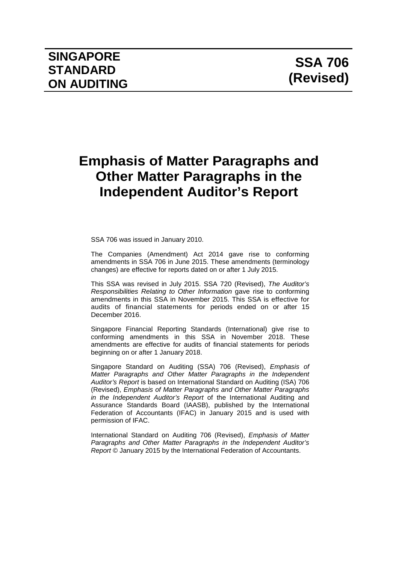# **Emphasis of Matter Paragraphs and Other Matter Paragraphs in the Independent Auditor's Report**

SSA 706 was issued in January 2010.

The Companies (Amendment) Act 2014 gave rise to conforming amendments in SSA 706 in June 2015. These amendments (terminology changes) are effective for reports dated on or after 1 July 2015.

This SSA was revised in July 2015. SSA 720 (Revised), *The Auditor's Responsibilities Relating to Other Information* gave rise to conforming amendments in this SSA in November 2015. This SSA is effective for audits of financial statements for periods ended on or after 15 December 2016.

Singapore Financial Reporting Standards (International) give rise to conforming amendments in this SSA in November 2018. These amendments are effective for audits of financial statements for periods beginning on or after 1 January 2018.

Singapore Standard on Auditing (SSA) 706 (Revised), *Emphasis of Matter Paragraphs and Other Matter Paragraphs in the Independent Auditor's Report* is based on International Standard on Auditing (ISA) 706 (Revised), *Emphasis of Matter Paragraphs and Other Matter Paragraphs in the Independent Auditor's Report* of the International Auditing and Assurance Standards Board (IAASB), published by the International Federation of Accountants (IFAC) in January 2015 and is used with permission of IFAC.

International Standard on Auditing 706 (Revised), *Emphasis of Matter Paragraphs and Other Matter Paragraphs in the Independent Auditor's Report* © January 2015 by the International Federation of Accountants.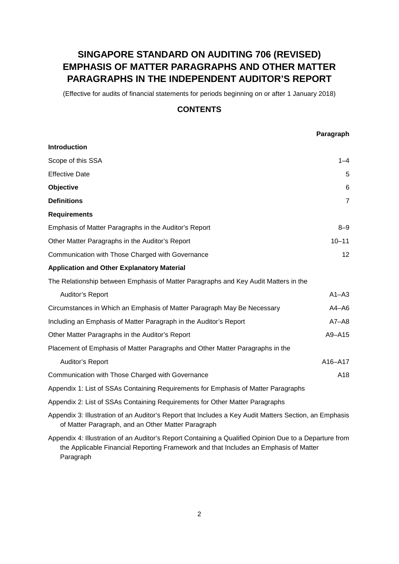## **SINGAPORE STANDARD ON AUDITING 706 (REVISED) EMPHASIS OF MATTER PARAGRAPHS AND OTHER MATTER PARAGRAPHS IN THE INDEPENDENT AUDITOR'S REPORT**

(Effective for audits of financial statements for periods beginning on or after 1 January 2018)

### **CONTENTS**

#### **Paragraph**

| <b>Introduction</b>                                                                                                                                                                            |                |
|------------------------------------------------------------------------------------------------------------------------------------------------------------------------------------------------|----------------|
| Scope of this SSA                                                                                                                                                                              | 1–4            |
| <b>Effective Date</b>                                                                                                                                                                          | 5              |
| Objective                                                                                                                                                                                      | 6              |
| <b>Definitions</b>                                                                                                                                                                             | $\overline{7}$ |
| <b>Requirements</b>                                                                                                                                                                            |                |
| Emphasis of Matter Paragraphs in the Auditor's Report                                                                                                                                          | $8 - 9$        |
| Other Matter Paragraphs in the Auditor's Report                                                                                                                                                | $10 - 11$      |
| Communication with Those Charged with Governance                                                                                                                                               | 12             |
| <b>Application and Other Explanatory Material</b>                                                                                                                                              |                |
| The Relationship between Emphasis of Matter Paragraphs and Key Audit Matters in the                                                                                                            |                |
| Auditor's Report                                                                                                                                                                               | $A1 - A3$      |
| Circumstances in Which an Emphasis of Matter Paragraph May Be Necessary                                                                                                                        | $A4 - A6$      |
| Including an Emphasis of Matter Paragraph in the Auditor's Report                                                                                                                              | $A7 - A8$      |
| Other Matter Paragraphs in the Auditor's Report                                                                                                                                                | A9-A15         |
| Placement of Emphasis of Matter Paragraphs and Other Matter Paragraphs in the                                                                                                                  |                |
| Auditor's Report                                                                                                                                                                               | A16-A17        |
| Communication with Those Charged with Governance                                                                                                                                               | A18            |
| Appendix 1: List of SSAs Containing Requirements for Emphasis of Matter Paragraphs                                                                                                             |                |
| Appendix 2: List of SSAs Containing Requirements for Other Matter Paragraphs                                                                                                                   |                |
| Appendix 3: Illustration of an Auditor's Report that Includes a Key Audit Matters Section, an Emphasis<br>of Matter Paragraph, and an Other Matter Paragraph                                   |                |
| Appendix 4: Illustration of an Auditor's Report Containing a Qualified Opinion Due to a Departure from<br>the Applicable Financial Reporting Framework and that Includes an Emphasis of Matter |                |

Paragraph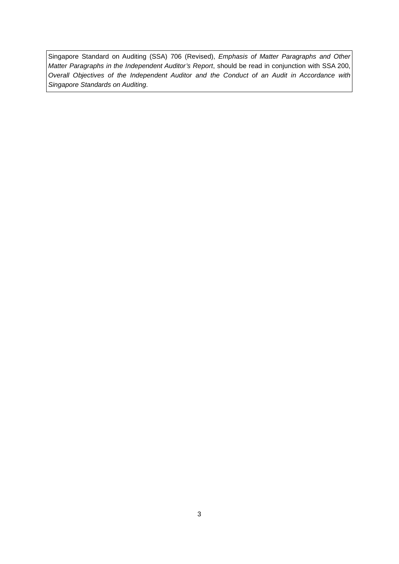Singapore Standard on Auditing (SSA) 706 (Revised), *Emphasis of Matter Paragraphs and Other Matter Paragraphs in the Independent Auditor's Report*, should be read in conjunction with SSA 200, *Overall Objectives of the Independent Auditor and the Conduct of an Audit in Accordance with Singapore Standards on Auditing*.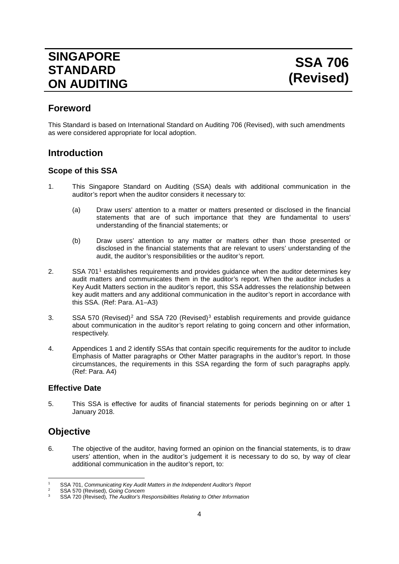# **SINGAPORE STANDARD ON AUDITING**

## **Foreword**

This Standard is based on International Standard on Auditing 706 (Revised), with such amendments as were considered appropriate for local adoption.

## **Introduction**

### **Scope of this SSA**

- 1. This Singapore Standard on Auditing (SSA) deals with additional communication in the auditor's report when the auditor considers it necessary to:
	- (a) Draw users' attention to a matter or matters presented or disclosed in the financial statements that are of such importance that they are fundamental to users' understanding of the financial statements; or
	- (b) Draw users' attention to any matter or matters other than those presented or disclosed in the financial statements that are relevant to users' understanding of the audit, the auditor's responsibilities or the auditor's report.
- 2. SSA 7011 establishes requirements and provides guidance when the auditor determines key audit matters and communicates them in the auditor's report. When the auditor includes a Key Audit Matters section in the auditor's report, this SSA addresses the relationship between key audit matters and any additional communication in the auditor's report in accordance with this SSA. (Ref: Para. A1–A3)
- 3. SSA 570 (Revised)<sup>2</sup> and SSA 720 (Revised)<sup>3</sup> establish requirements and provide quidance about communication in the auditor's report relating to going concern and other information, respectively.
- 4. Appendices 1 and 2 identify SSAs that contain specific requirements for the auditor to include Emphasis of Matter paragraphs or Other Matter paragraphs in the auditor's report. In those circumstances, the requirements in this SSA regarding the form of such paragraphs apply. (Ref: Para. A4)

### **Effective Date**

5. This SSA is effective for audits of financial statements for periods beginning on or after 1 January 2018.

## **Objective**

6. The objective of the auditor, having formed an opinion on the financial statements, is to draw users' attention, when in the auditor's judgement it is necessary to do so, by way of clear additional communication in the auditor's report, to:

<sup>&</sup>lt;u>.</u> <sup>1</sup> SSA 701, *Communicating Key Audit Matters in the Independent Auditor's Report*

<sup>2</sup> SSA 570 (Revised), *Going Concern*

<sup>3</sup> SSA 720 (Revised), *The Auditor's Responsibilities Relating to Other Information*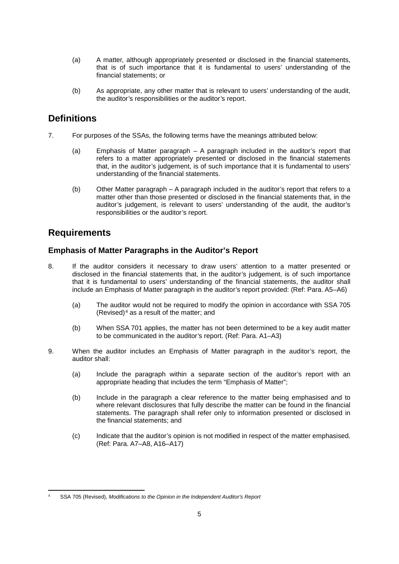- (a) A matter, although appropriately presented or disclosed in the financial statements, that is of such importance that it is fundamental to users' understanding of the financial statements; or
- (b) As appropriate, any other matter that is relevant to users' understanding of the audit, the auditor's responsibilities or the auditor's report.

## **Definitions**

- 7. For purposes of the SSAs, the following terms have the meanings attributed below:
	- (a) Emphasis of Matter paragraph A paragraph included in the auditor's report that refers to a matter appropriately presented or disclosed in the financial statements that, in the auditor's judgement, is of such importance that it is fundamental to users' understanding of the financial statements.
	- (b) Other Matter paragraph A paragraph included in the auditor's report that refers to a matter other than those presented or disclosed in the financial statements that, in the auditor's judgement, is relevant to users' understanding of the audit, the auditor's responsibilities or the auditor's report.

## **Requirements**

### **Emphasis of Matter Paragraphs in the Auditor's Report**

- 8. If the auditor considers it necessary to draw users' attention to a matter presented or disclosed in the financial statements that, in the auditor's judgement, is of such importance that it is fundamental to users' understanding of the financial statements, the auditor shall include an Emphasis of Matter paragraph in the auditor's report provided: (Ref: Para. A5–A6)
	- (a) The auditor would not be required to modify the opinion in accordance with SSA 705 (Revised)<sup>4</sup> as a result of the matter; and
	- (b) When SSA 701 applies, the matter has not been determined to be a key audit matter to be communicated in the auditor's report. (Ref: Para. A1–A3)
- 9. When the auditor includes an Emphasis of Matter paragraph in the auditor's report, the auditor shall:
	- (a) Include the paragraph within a separate section of the auditor's report with an appropriate heading that includes the term "Emphasis of Matter";
	- (b) Include in the paragraph a clear reference to the matter being emphasised and to where relevant disclosures that fully describe the matter can be found in the financial statements. The paragraph shall refer only to information presented or disclosed in the financial statements; and
	- (c) Indicate that the auditor's opinion is not modified in respect of the matter emphasised. (Ref: Para. A7–A8, A16–A17)

**<sup>.</sup>** <sup>4</sup> SSA 705 (Revised), *Modifications to the Opinion in the Independent Auditor's Report*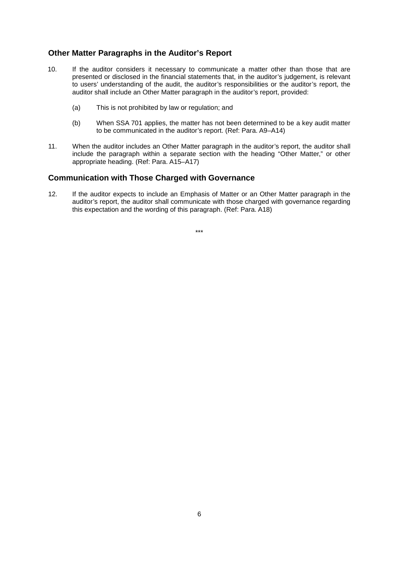### **Other Matter Paragraphs in the Auditor's Report**

- 10. If the auditor considers it necessary to communicate a matter other than those that are presented or disclosed in the financial statements that, in the auditor's judgement, is relevant to users' understanding of the audit, the auditor's responsibilities or the auditor's report, the auditor shall include an Other Matter paragraph in the auditor's report, provided:
	- (a) This is not prohibited by law or regulation; and
	- (b) When SSA 701 applies, the matter has not been determined to be a key audit matter to be communicated in the auditor's report. (Ref: Para. A9–A14)
- 11. When the auditor includes an Other Matter paragraph in the auditor's report, the auditor shall include the paragraph within a separate section with the heading "Other Matter," or other appropriate heading. (Ref: Para. A15–A17)

### **Communication with Those Charged with Governance**

12. If the auditor expects to include an Emphasis of Matter or an Other Matter paragraph in the auditor's report, the auditor shall communicate with those charged with governance regarding this expectation and the wording of this paragraph. (Ref: Para. A18)

\*\*\*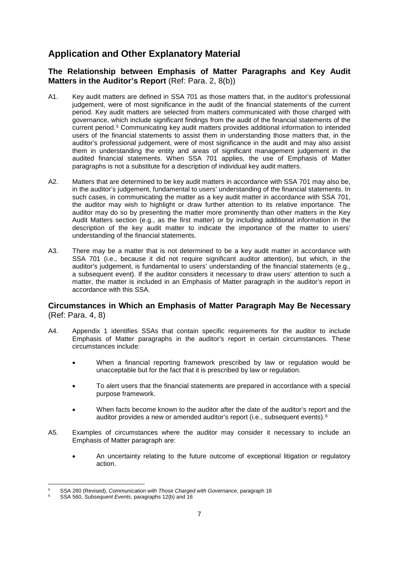## **Application and Other Explanatory Material**

### **The Relationship between Emphasis of Matter Paragraphs and Key Audit Matters in the Auditor's Report** (Ref: Para. 2, 8(b))

- A1. Key audit matters are defined in SSA 701 as those matters that, in the auditor's professional judgement, were of most significance in the audit of the financial statements of the current period. Key audit matters are selected from matters communicated with those charged with governance, which include significant findings from the audit of the financial statements of the current period.5 Communicating key audit matters provides additional information to intended users of the financial statements to assist them in understanding those matters that, in the auditor's professional judgement, were of most significance in the audit and may also assist them in understanding the entity and areas of significant management judgement in the audited financial statements. When SSA 701 applies, the use of Emphasis of Matter paragraphs is not a substitute for a description of individual key audit matters.
- A2. Matters that are determined to be key audit matters in accordance with SSA 701 may also be, in the auditor's judgement, fundamental to users' understanding of the financial statements. In such cases, in communicating the matter as a key audit matter in accordance with SSA 701, the auditor may wish to highlight or draw further attention to its relative importance. The auditor may do so by presenting the matter more prominently than other matters in the Key Audit Matters section (e.g., as the first matter) or by including additional information in the description of the key audit matter to indicate the importance of the matter to users' understanding of the financial statements.
- A3. There may be a matter that is not determined to be a key audit matter in accordance with SSA 701 (i.e., because it did not require significant auditor attention), but which, in the auditor's judgement, is fundamental to users' understanding of the financial statements (e.g., a subsequent event). If the auditor considers it necessary to draw users' attention to such a matter, the matter is included in an Emphasis of Matter paragraph in the auditor's report in accordance with this SSA.

### **Circumstances in Which an Emphasis of Matter Paragraph May Be Necessary**  (Ref: Para. 4, 8)

- A4. Appendix 1 identifies SSAs that contain specific requirements for the auditor to include Emphasis of Matter paragraphs in the auditor's report in certain circumstances. These circumstances include:
	- When a financial reporting framework prescribed by law or regulation would be unacceptable but for the fact that it is prescribed by law or regulation.
	- To alert users that the financial statements are prepared in accordance with a special purpose framework.
	- When facts become known to the auditor after the date of the auditor's report and the auditor provides a new or amended auditor's report (i.e., subsequent events).6
- A5. Examples of circumstances where the auditor may consider it necessary to include an Emphasis of Matter paragraph are:
	- An uncertainty relating to the future outcome of exceptional litigation or regulatory action.

**<sup>.</sup>** <sup>5</sup> SSA 260 (Revised), *Communication with Those Charged with Governance*, paragraph 16

<sup>6</sup> SSA 560, *Subsequent Events*, paragraphs 12(b) and 16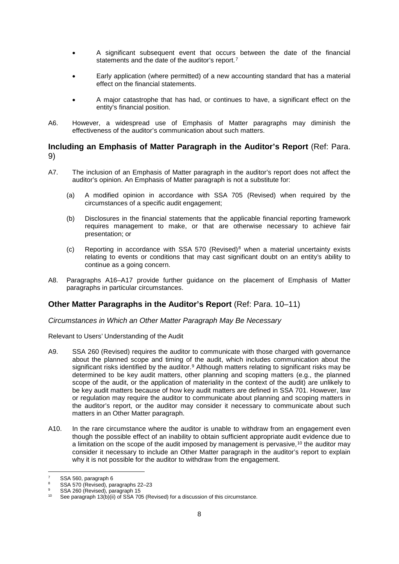- A significant subsequent event that occurs between the date of the financial statements and the date of the auditor's report.<sup>7</sup>
- Early application (where permitted) of a new accounting standard that has a material effect on the financial statements.
- A major catastrophe that has had, or continues to have, a significant effect on the entity's financial position.
- A6. However, a widespread use of Emphasis of Matter paragraphs may diminish the effectiveness of the auditor's communication about such matters.

### **Including an Emphasis of Matter Paragraph in the Auditor's Report** (Ref: Para. 9)

- A7. The inclusion of an Emphasis of Matter paragraph in the auditor's report does not affect the auditor's opinion. An Emphasis of Matter paragraph is not a substitute for:
	- (a) A modified opinion in accordance with SSA 705 (Revised) when required by the circumstances of a specific audit engagement;
	- (b) Disclosures in the financial statements that the applicable financial reporting framework requires management to make, or that are otherwise necessary to achieve fair presentation; or
	- (c) Reporting in accordance with SSA 570 (Revised)<sup>8</sup> when a material uncertainty exists relating to events or conditions that may cast significant doubt on an entity's ability to continue as a going concern.
- A8. Paragraphs A16–A17 provide further guidance on the placement of Emphasis of Matter paragraphs in particular circumstances.

### **Other Matter Paragraphs in the Auditor's Report** (Ref: Para. 10–11)

*Circumstances in Which an Other Matter Paragraph May Be Necessary* 

Relevant to Users' Understanding of the Audit

- A9. SSA 260 (Revised) requires the auditor to communicate with those charged with governance about the planned scope and timing of the audit, which includes communication about the significant risks identified by the auditor.<sup>9</sup> Although matters relating to significant risks may be determined to be key audit matters, other planning and scoping matters (e.g., the planned scope of the audit, or the application of materiality in the context of the audit) are unlikely to be key audit matters because of how key audit matters are defined in SSA 701. However, law or regulation may require the auditor to communicate about planning and scoping matters in the auditor's report, or the auditor may consider it necessary to communicate about such matters in an Other Matter paragraph.
- A10. In the rare circumstance where the auditor is unable to withdraw from an engagement even though the possible effect of an inability to obtain sufficient appropriate audit evidence due to a limitation on the scope of the audit imposed by management is pervasive,10 the auditor may consider it necessary to include an Other Matter paragraph in the auditor's report to explain why it is not possible for the auditor to withdraw from the engagement.

 $\overline{a}$ 

 $\frac{7}{8}$  SSA 560, paragraph 6

<sup>&</sup>lt;sup>8</sup> SSA 570 (Revised), paragraphs 22–23<br><sup>9</sup> SSA 260 (Revised), paragraph 15

<sup>&</sup>lt;sup>10</sup> See paragraph 13(b)(ii) of SSA 705 (Revised) for a discussion of this circumstance.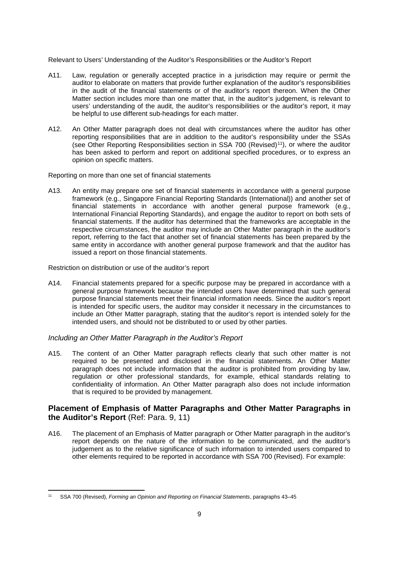Relevant to Users' Understanding of the Auditor's Responsibilities or the Auditor's Report

- A11. Law, regulation or generally accepted practice in a jurisdiction may require or permit the auditor to elaborate on matters that provide further explanation of the auditor's responsibilities in the audit of the financial statements or of the auditor's report thereon. When the Other Matter section includes more than one matter that, in the auditor's judgement, is relevant to users' understanding of the audit, the auditor's responsibilities or the auditor's report, it may be helpful to use different sub-headings for each matter.
- A12. An Other Matter paragraph does not deal with circumstances where the auditor has other reporting responsibilities that are in addition to the auditor's responsibility under the SSAs (see Other Reporting Responsibilities section in SSA 700 (Revised)11), or where the auditor has been asked to perform and report on additional specified procedures, or to express an opinion on specific matters.

Reporting on more than one set of financial statements

A13. An entity may prepare one set of financial statements in accordance with a general purpose framework (e.g., Singapore Financial Reporting Standards (International)) and another set of financial statements in accordance with another general purpose framework (e.g., International Financial Reporting Standards), and engage the auditor to report on both sets of financial statements. If the auditor has determined that the frameworks are acceptable in the respective circumstances, the auditor may include an Other Matter paragraph in the auditor's report, referring to the fact that another set of financial statements has been prepared by the same entity in accordance with another general purpose framework and that the auditor has issued a report on those financial statements.

Restriction on distribution or use of the auditor's report

A14. Financial statements prepared for a specific purpose may be prepared in accordance with a general purpose framework because the intended users have determined that such general purpose financial statements meet their financial information needs. Since the auditor's report is intended for specific users, the auditor may consider it necessary in the circumstances to include an Other Matter paragraph, stating that the auditor's report is intended solely for the intended users, and should not be distributed to or used by other parties.

### *Including an Other Matter Paragraph in the Auditor's Report*

A15. The content of an Other Matter paragraph reflects clearly that such other matter is not required to be presented and disclosed in the financial statements. An Other Matter paragraph does not include information that the auditor is prohibited from providing by law, regulation or other professional standards, for example, ethical standards relating to confidentiality of information. An Other Matter paragraph also does not include information that is required to be provided by management.

### **Placement of Emphasis of Matter Paragraphs and Other Matter Paragraphs in the Auditor's Report** (Ref: Para. 9, 11)

A16. The placement of an Emphasis of Matter paragraph or Other Matter paragraph in the auditor's report depends on the nature of the information to be communicated, and the auditor's judgement as to the relative significance of such information to intended users compared to other elements required to be reported in accordance with SSA 700 (Revised). For example:

**<sup>.</sup>** <sup>11</sup> SSA 700 (Revised), *Forming an Opinion and Reporting on Financial Statements*, paragraphs 43–45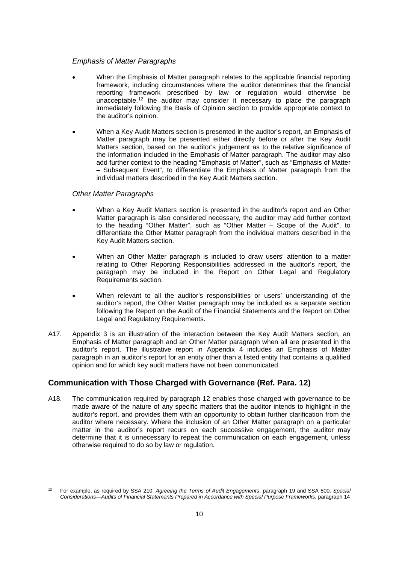### *Emphasis of Matter Paragraphs*

- When the Emphasis of Matter paragraph relates to the applicable financial reporting framework, including circumstances where the auditor determines that the financial reporting framework prescribed by law or regulation would otherwise be unacceptable,<sup>12</sup> the auditor may consider it necessary to place the paragraph immediately following the Basis of Opinion section to provide appropriate context to the auditor's opinion.
- When a Key Audit Matters section is presented in the auditor's report, an Emphasis of Matter paragraph may be presented either directly before or after the Key Audit Matters section, based on the auditor's judgement as to the relative significance of the information included in the Emphasis of Matter paragraph. The auditor may also add further context to the heading "Emphasis of Matter", such as "Emphasis of Matter – Subsequent Event", to differentiate the Emphasis of Matter paragraph from the individual matters described in the Key Audit Matters section.

#### *Other Matter Paragraphs*

- When a Key Audit Matters section is presented in the auditor's report and an Other Matter paragraph is also considered necessary, the auditor may add further context to the heading "Other Matter", such as "Other Matter – Scope of the Audit", to differentiate the Other Matter paragraph from the individual matters described in the Key Audit Matters section.
- When an Other Matter paragraph is included to draw users' attention to a matter relating to Other Reporting Responsibilities addressed in the auditor's report, the paragraph may be included in the Report on Other Legal and Regulatory Requirements section.
- When relevant to all the auditor's responsibilities or users' understanding of the auditor's report, the Other Matter paragraph may be included as a separate section following the Report on the Audit of the Financial Statements and the Report on Other Legal and Regulatory Requirements.
- A17. Appendix 3 is an illustration of the interaction between the Key Audit Matters section, an Emphasis of Matter paragraph and an Other Matter paragraph when all are presented in the auditor's report. The illustrative report in Appendix 4 includes an Emphasis of Matter paragraph in an auditor's report for an entity other than a listed entity that contains a qualified opinion and for which key audit matters have not been communicated.

### **Communication with Those Charged with Governance (Ref. Para. 12)**

A18. The communication required by paragraph 12 enables those charged with governance to be made aware of the nature of any specific matters that the auditor intends to highlight in the auditor's report, and provides them with an opportunity to obtain further clarification from the auditor where necessary. Where the inclusion of an Other Matter paragraph on a particular matter in the auditor's report recurs on each successive engagement, the auditor may determine that it is unnecessary to repeat the communication on each engagement, unless otherwise required to do so by law or regulation.

**<sup>.</sup>** <sup>12</sup> For example, as required by SSA 210, *Agreeing the Terms of Audit Engagements*, paragraph 19 and SSA 800, *Special Considerations—Audits of Financial Statements Prepared in Accordance with Special Purpose Frameworks***,** paragraph 14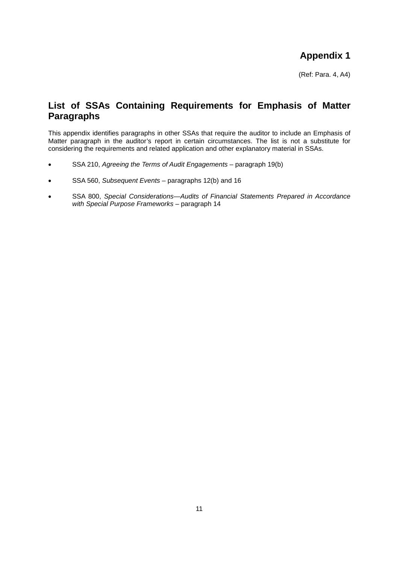(Ref: Para. 4, A4)

## **List of SSAs Containing Requirements for Emphasis of Matter Paragraphs**

This appendix identifies paragraphs in other SSAs that require the auditor to include an Emphasis of Matter paragraph in the auditor's report in certain circumstances. The list is not a substitute for considering the requirements and related application and other explanatory material in SSAs.

- SSA 210, *Agreeing the Terms of Audit Engagements* paragraph 19(b)
- SSA 560, *Subsequent Events* paragraphs 12(b) and 16
- SSA 800, *Special Considerations—Audits of Financial Statements Prepared in Accordance with Special Purpose Frameworks* – paragraph 14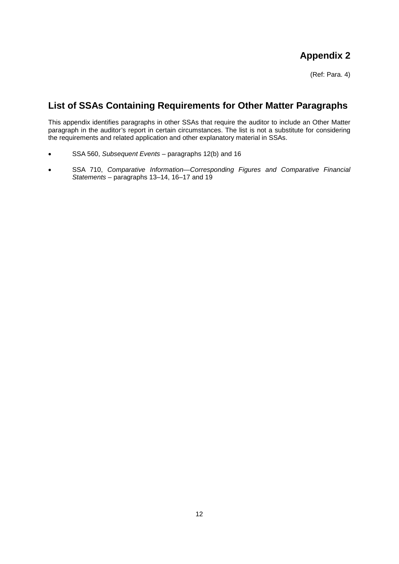(Ref: Para. 4)

## **List of SSAs Containing Requirements for Other Matter Paragraphs**

This appendix identifies paragraphs in other SSAs that require the auditor to include an Other Matter paragraph in the auditor's report in certain circumstances. The list is not a substitute for considering the requirements and related application and other explanatory material in SSAs.

- SSA 560, *Subsequent Events* paragraphs 12(b) and 16
- SSA 710, *Comparative Information—Corresponding Figures and Comparative Financial Statements* – paragraphs 13–14, 16–17 and 19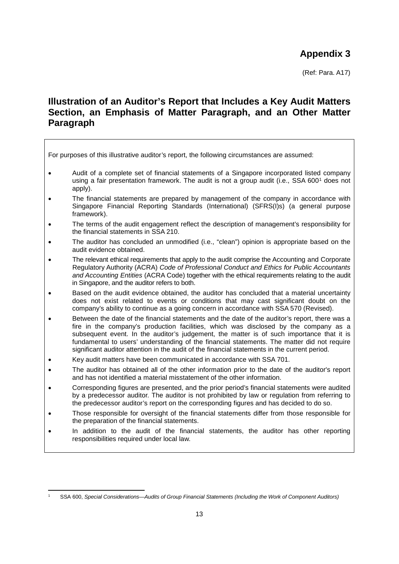(Ref: Para. A17)

## **Illustration of an Auditor's Report that Includes a Key Audit Matters Section, an Emphasis of Matter Paragraph, and an Other Matter Paragraph**

For purposes of this illustrative auditor's report, the following circumstances are assumed:

- Audit of a complete set of financial statements of a Singapore incorporated listed company using a fair presentation framework. The audit is not a group audit (i.e., SSA 6001 does not apply).
- The financial statements are prepared by management of the company in accordance with Singapore Financial Reporting Standards (International) (SFRS(I)s) (a general purpose framework).
- The terms of the audit engagement reflect the description of management's responsibility for the financial statements in SSA 210.
- The auditor has concluded an unmodified (i.e., "clean") opinion is appropriate based on the audit evidence obtained.
- The relevant ethical requirements that apply to the audit comprise the Accounting and Corporate Regulatory Authority (ACRA) *Code of Professional Conduct and Ethics for Public Accountants and Accounting Entities* (ACRA Code) together with the ethical requirements relating to the audit in Singapore, and the auditor refers to both.
- Based on the audit evidence obtained, the auditor has concluded that a material uncertainty does not exist related to events or conditions that may cast significant doubt on the company's ability to continue as a going concern in accordance with SSA 570 (Revised).
- Between the date of the financial statements and the date of the auditor's report, there was a fire in the company's production facilities, which was disclosed by the company as a subsequent event. In the auditor's judgement, the matter is of such importance that it is fundamental to users' understanding of the financial statements. The matter did not require significant auditor attention in the audit of the financial statements in the current period.
- Key audit matters have been communicated in accordance with SSA 701.
- The auditor has obtained all of the other information prior to the date of the auditor's report and has not identified a material misstatement of the other information.
- Corresponding figures are presented, and the prior period's financial statements were audited by a predecessor auditor. The auditor is not prohibited by law or regulation from referring to the predecessor auditor's report on the corresponding figures and has decided to do so.
- Those responsible for oversight of the financial statements differ from those responsible for the preparation of the financial statements.
- In addition to the audit of the financial statements, the auditor has other reporting responsibilities required under local law.

**<sup>.</sup>** <sup>1</sup> SSA 600, *Special Considerations—Audits of Group Financial Statements (Including the Work of Component Auditors)*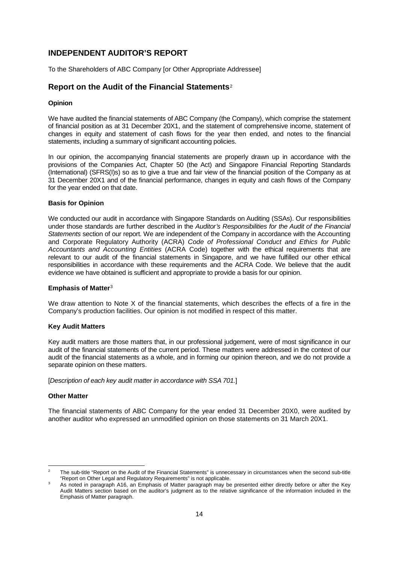### **INDEPENDENT AUDITOR'S REPORT**

To the Shareholders of ABC Company [or Other Appropriate Addressee]

### **Report on the Audit of the Financial Statements**<sup>2</sup>

#### **Opinion**

We have audited the financial statements of ABC Company (the Company), which comprise the statement of financial position as at 31 December 20X1, and the statement of comprehensive income, statement of changes in equity and statement of cash flows for the year then ended, and notes to the financial statements, including a summary of significant accounting policies.

In our opinion, the accompanying financial statements are properly drawn up in accordance with the provisions of the Companies Act, Chapter 50 (the Act) and Singapore Financial Reporting Standards (International) (SFRS(I)s) so as to give a true and fair view of the financial position of the Company as at 31 December 20X1 and of the financial performance, changes in equity and cash flows of the Company for the year ended on that date.

#### **Basis for Opinion**

We conducted our audit in accordance with Singapore Standards on Auditing (SSAs). Our responsibilities under those standards are further described in the *Auditor's Responsibilities for the Audit of the Financial Statements* section of our report. We are independent of the Company in accordance with the Accounting and Corporate Regulatory Authority (ACRA) *Code of Professional Conduct and Ethics for Public Accountants and Accounting Entities* (ACRA Code) together with the ethical requirements that are relevant to our audit of the financial statements in Singapore, and we have fulfilled our other ethical responsibilities in accordance with these requirements and the ACRA Code. We believe that the audit evidence we have obtained is sufficient and appropriate to provide a basis for our opinion.

#### **Emphasis of Matter**<sup>3</sup>

We draw attention to Note X of the financial statements, which describes the effects of a fire in the Company's production facilities. Our opinion is not modified in respect of this matter.

#### **Key Audit Matters**

Key audit matters are those matters that, in our professional judgement, were of most significance in our audit of the financial statements of the current period. These matters were addressed in the context of our audit of the financial statements as a whole, and in forming our opinion thereon, and we do not provide a separate opinion on these matters.

[*Description of each key audit matter in accordance with SSA 701.*]

#### **Other Matter**

The financial statements of ABC Company for the year ended 31 December 20X0, were audited by another auditor who expressed an unmodified opinion on those statements on 31 March 20X1.

 $\overline{z}$ <sup>2</sup> The sub-title "Report on the Audit of the Financial Statements" is unnecessary in circumstances when the second sub-title "Report on Other Legal and Regulatory Requirements" is not applicable.

<sup>3</sup> As noted in paragraph A16, an Emphasis of Matter paragraph may be presented either directly before or after the Key Audit Matters section based on the auditor's judgment as to the relative significance of the information included in the Emphasis of Matter paragraph.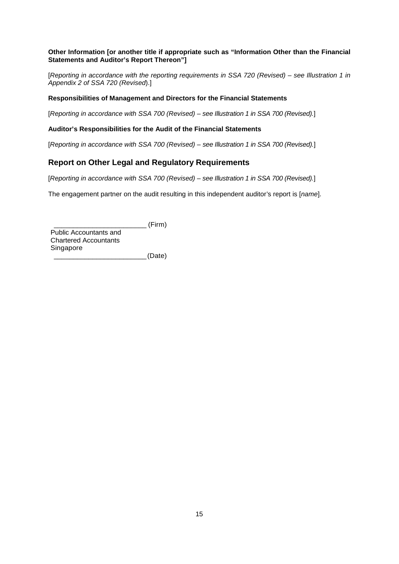### **Other Information [or another title if appropriate such as "Information Other than the Financial Statements and Auditor's Report Thereon"]**

[*Reporting in accordance with the reporting requirements in SSA 720 (Revised) – see Illustration 1 in Appendix 2 of SSA 720 (Revised*).]

## **Responsibilities of Management and Directors for the Financial Statements**

[*Reporting in accordance with SSA 700 (Revised) – see Illustration 1 in SSA 700 (Revised).*]

### **Auditor's Responsibilities for the Audit of the Financial Statements**

[*Reporting in accordance with SSA 700 (Revised) – see Illustration 1 in SSA 700 (Revised).*]

### **Report on Other Legal and Regulatory Requirements**

[*Reporting in accordance with SSA 700 (Revised) – see Illustration 1 in SSA 700 (Revised).*]

The engagement partner on the audit resulting in this independent auditor's report is [*name*].

 $(Firm)$ Public Accountants and Chartered Accountants Singapore

\_\_\_\_\_\_\_\_\_\_\_\_\_\_\_\_\_\_\_\_\_\_\_\_(Date)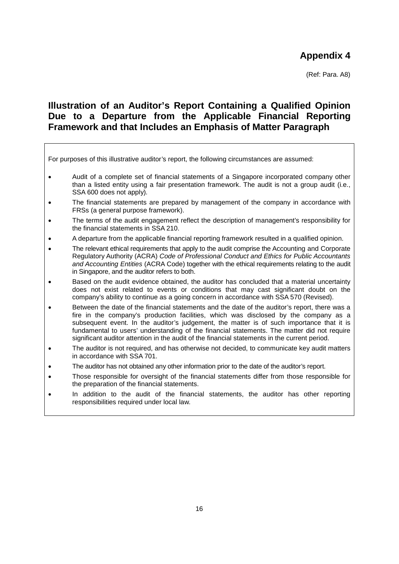(Ref: Para. A8)

## **Illustration of an Auditor's Report Containing a Qualified Opinion Due to a Departure from the Applicable Financial Reporting Framework and that Includes an Emphasis of Matter Paragraph**

For purposes of this illustrative auditor's report, the following circumstances are assumed:

- Audit of a complete set of financial statements of a Singapore incorporated company other than a listed entity using a fair presentation framework. The audit is not a group audit (i.e., SSA 600 does not apply)*.*
- The financial statements are prepared by management of the company in accordance with FRSs (a general purpose framework).
- The terms of the audit engagement reflect the description of management's responsibility for the financial statements in SSA 210.
- A departure from the applicable financial reporting framework resulted in a qualified opinion.
- The relevant ethical requirements that apply to the audit comprise the Accounting and Corporate Regulatory Authority (ACRA) *Code of Professional Conduct and Ethics for Public Accountants and Accounting Entities* (ACRA Code) together with the ethical requirements relating to the audit in Singapore, and the auditor refers to both.
- Based on the audit evidence obtained, the auditor has concluded that a material uncertainty does not exist related to events or conditions that may cast significant doubt on the company's ability to continue as a going concern in accordance with SSA 570 (Revised).
- Between the date of the financial statements and the date of the auditor's report, there was a fire in the company's production facilities, which was disclosed by the company as a subsequent event. In the auditor's judgement, the matter is of such importance that it is fundamental to users' understanding of the financial statements. The matter did not require significant auditor attention in the audit of the financial statements in the current period.
- The auditor is not required, and has otherwise not decided, to communicate key audit matters in accordance with SSA 701.
- The auditor has not obtained any other information prior to the date of the auditor's report.
- Those responsible for oversight of the financial statements differ from those responsible for the preparation of the financial statements.
- In addition to the audit of the financial statements, the auditor has other reporting responsibilities required under local law.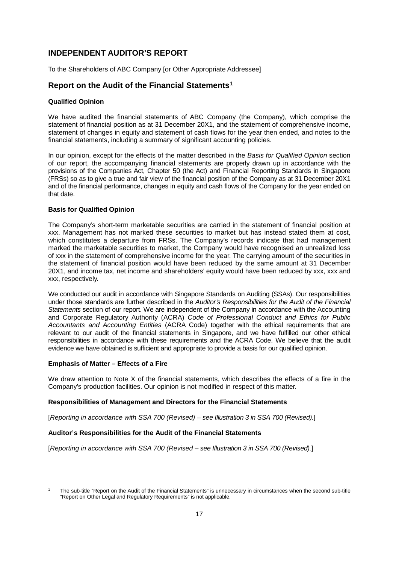### **INDEPENDENT AUDITOR'S REPORT**

To the Shareholders of ABC Company [or Other Appropriate Addressee]

### **Report on the Audit of the Financial Statements**<sup>1</sup>

#### **Qualified Opinion**

We have audited the financial statements of ABC Company (the Company), which comprise the statement of financial position as at 31 December 20X1, and the statement of comprehensive income, statement of changes in equity and statement of cash flows for the year then ended, and notes to the financial statements, including a summary of significant accounting policies.

In our opinion, except for the effects of the matter described in the *Basis for Qualified Opinion* section of our report, the accompanying financial statements are properly drawn up in accordance with the provisions of the Companies Act, Chapter 50 (the Act) and Financial Reporting Standards in Singapore (FRSs) so as to give a true and fair view of the financial position of the Company as at 31 December 20X1 and of the financial performance, changes in equity and cash flows of the Company for the year ended on that date.

#### **Basis for Qualified Opinion**

The Company's short-term marketable securities are carried in the statement of financial position at xxx. Management has not marked these securities to market but has instead stated them at cost, which constitutes a departure from FRSs. The Company's records indicate that had management marked the marketable securities to market, the Company would have recognised an unrealized loss of xxx in the statement of comprehensive income for the year. The carrying amount of the securities in the statement of financial position would have been reduced by the same amount at 31 December 20X1, and income tax, net income and shareholders' equity would have been reduced by xxx, xxx and xxx, respectively.

We conducted our audit in accordance with Singapore Standards on Auditing (SSAs). Our responsibilities under those standards are further described in the *Auditor's Responsibilities for the Audit of the Financial Statements* section of our report. We are independent of the Company in accordance with the Accounting and Corporate Regulatory Authority (ACRA) *Code of Professional Conduct and Ethics for Public Accountants and Accounting Entities* (ACRA Code) together with the ethical requirements that are relevant to our audit of the financial statements in Singapore, and we have fulfilled our other ethical responsibilities in accordance with these requirements and the ACRA Code. We believe that the audit evidence we have obtained is sufficient and appropriate to provide a basis for our qualified opinion.

### **Emphasis of Matter – Effects of a Fire**

We draw attention to Note X of the financial statements, which describes the effects of a fire in the Company's production facilities. Our opinion is not modified in respect of this matter.

### **Responsibilities of Management and Directors for the Financial Statements**

[*Reporting in accordance with SSA 700 (Revised) – see Illustration 3 in SSA 700 (Revised).*]

### **Auditor's Responsibilities for the Audit of the Financial Statements**

[*Reporting in accordance with SSA 700 (Revised – see Illustration 3 in SSA 700 (Revised).*]

**<sup>.</sup>** <sup>1</sup> The sub-title "Report on the Audit of the Financial Statements" is unnecessary in circumstances when the second sub-title "Report on Other Legal and Regulatory Requirements" is not applicable.